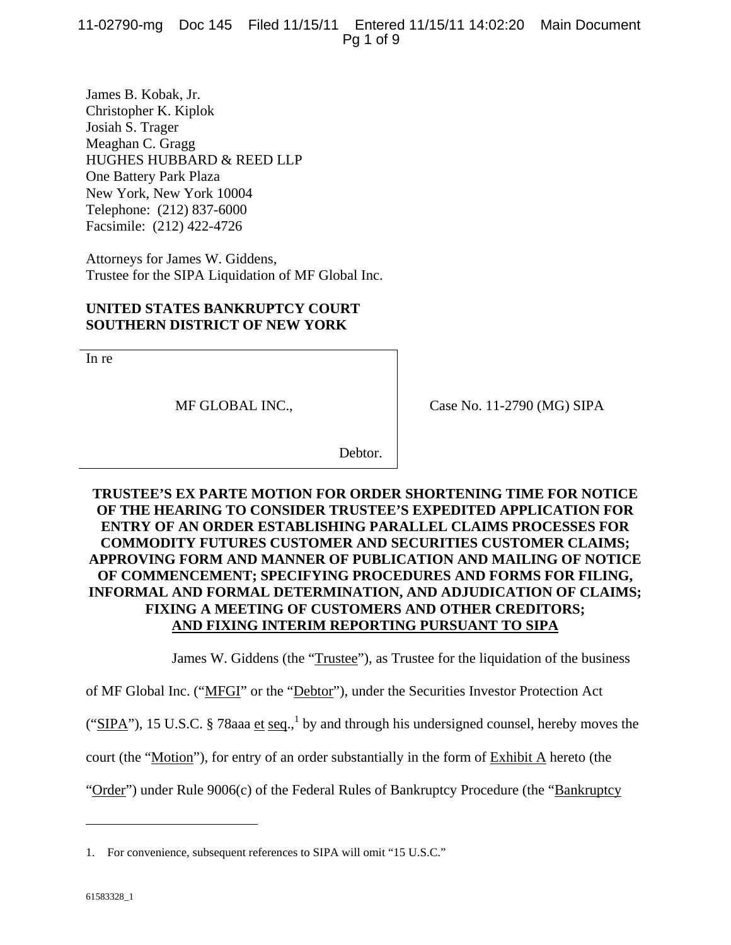11-02790-mg Doc 145 Filed 11/15/11 Entered 11/15/11 14:02:20 Main Document Pg 1 of 9

James B. Kobak, Jr. Christopher K. Kiplok Josiah S. Trager Meaghan C. Gragg HUGHES HUBBARD & REED LLP One Battery Park Plaza New York, New York 10004 Telephone: (212) 837-6000 Facsimile: (212) 422-4726

Attorneys for James W. Giddens, Trustee for the SIPA Liquidation of MF Global Inc.

## **UNITED STATES BANKRUPTCY COURT SOUTHERN DISTRICT OF NEW YORK**

In re

MF GLOBAL INC.,

Case No. 11-2790 (MG) SIPA

Debtor.

# **TRUSTEE'S EX PARTE MOTION FOR ORDER SHORTENING TIME FOR NOTICE OF THE HEARING TO CONSIDER TRUSTEE'S EXPEDITED APPLICATION FOR ENTRY OF AN ORDER ESTABLISHING PARALLEL CLAIMS PROCESSES FOR COMMODITY FUTURES CUSTOMER AND SECURITIES CUSTOMER CLAIMS; APPROVING FORM AND MANNER OF PUBLICATION AND MAILING OF NOTICE OF COMMENCEMENT; SPECIFYING PROCEDURES AND FORMS FOR FILING, INFORMAL AND FORMAL DETERMINATION, AND ADJUDICATION OF CLAIMS; FIXING A MEETING OF CUSTOMERS AND OTHER CREDITORS; AND FIXING INTERIM REPORTING PURSUANT TO SIPA**

James W. Giddens (the "Trustee"), as Trustee for the liquidation of the business

of MF Global Inc. ("MFGI" or the "Debtor"), under the Securities Investor Protection Act

("SIPA"), 15 U.S.C. § 78aaa et seq.,<sup>1</sup> by and through his undersigned counsel, hereby moves the

court (the "Motion"), for entry of an order substantially in the form of Exhibit A hereto (the

"Order") under Rule 9006(c) of the Federal Rules of Bankruptcy Procedure (the "Bankruptcy

 $\overline{a}$ 

<sup>1.</sup> For convenience, subsequent references to SIPA will omit "15 U.S.C."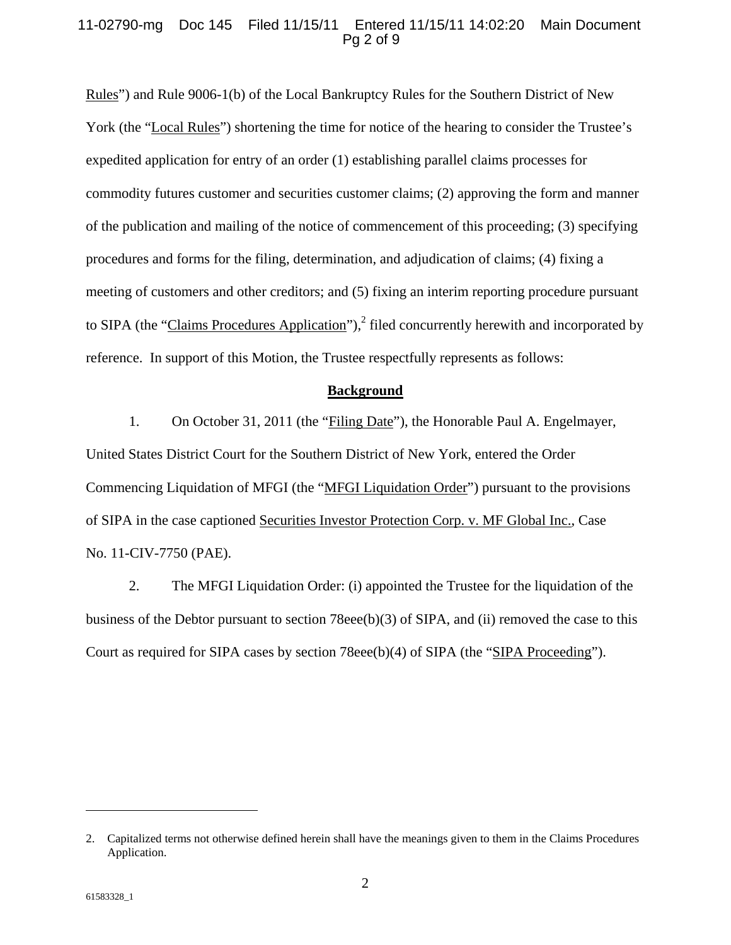#### 11-02790-mg Doc 145 Filed 11/15/11 Entered 11/15/11 14:02:20 Main Document Pg 2 of 9

Rules") and Rule 9006-1(b) of the Local Bankruptcy Rules for the Southern District of New York (the "Local Rules") shortening the time for notice of the hearing to consider the Trustee's expedited application for entry of an order (1) establishing parallel claims processes for commodity futures customer and securities customer claims; (2) approving the form and manner of the publication and mailing of the notice of commencement of this proceeding; (3) specifying procedures and forms for the filing, determination, and adjudication of claims; (4) fixing a meeting of customers and other creditors; and (5) fixing an interim reporting procedure pursuant to SIPA (the "Claims Procedures Application"),<sup>2</sup> filed concurrently herewith and incorporated by reference. In support of this Motion, the Trustee respectfully represents as follows:

#### **Background**

1. On October 31, 2011 (the "Filing Date"), the Honorable Paul A. Engelmayer, United States District Court for the Southern District of New York, entered the Order Commencing Liquidation of MFGI (the "MFGI Liquidation Order") pursuant to the provisions of SIPA in the case captioned Securities Investor Protection Corp. v. MF Global Inc., Case No. 11-CIV-7750 (PAE).

2. The MFGI Liquidation Order: (i) appointed the Trustee for the liquidation of the business of the Debtor pursuant to section 78eee(b)(3) of SIPA, and (ii) removed the case to this Court as required for SIPA cases by section 78eee(b)(4) of SIPA (the "SIPA Proceeding").

1

<sup>2.</sup> Capitalized terms not otherwise defined herein shall have the meanings given to them in the Claims Procedures Application.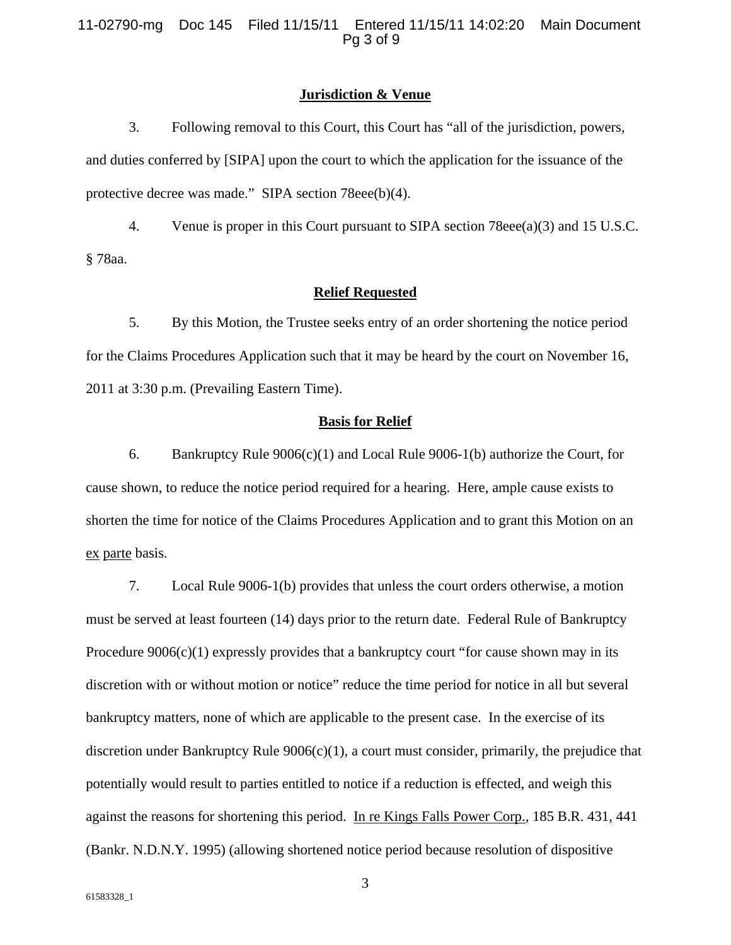#### **Jurisdiction & Venue**

3. Following removal to this Court, this Court has "all of the jurisdiction, powers, and duties conferred by [SIPA] upon the court to which the application for the issuance of the protective decree was made." SIPA section 78eee(b)(4).

4. Venue is proper in this Court pursuant to SIPA section 78eee(a)(3) and 15 U.S.C. § 78aa.

# **Relief Requested**

5. By this Motion, the Trustee seeks entry of an order shortening the notice period for the Claims Procedures Application such that it may be heard by the court on November 16, 2011 at 3:30 p.m. (Prevailing Eastern Time).

#### **Basis for Relief**

6. Bankruptcy Rule 9006(c)(1) and Local Rule 9006-1(b) authorize the Court, for cause shown, to reduce the notice period required for a hearing. Here, ample cause exists to shorten the time for notice of the Claims Procedures Application and to grant this Motion on an ex parte basis.

7. Local Rule 9006-1(b) provides that unless the court orders otherwise, a motion must be served at least fourteen (14) days prior to the return date. Federal Rule of Bankruptcy Procedure  $9006(c)(1)$  expressly provides that a bankruptcy court "for cause shown may in its discretion with or without motion or notice" reduce the time period for notice in all but several bankruptcy matters, none of which are applicable to the present case. In the exercise of its discretion under Bankruptcy Rule  $9006(c)(1)$ , a court must consider, primarily, the prejudice that potentially would result to parties entitled to notice if a reduction is effected, and weigh this against the reasons for shortening this period. In re Kings Falls Power Corp., 185 B.R. 431, 441 (Bankr. N.D.N.Y. 1995) (allowing shortened notice period because resolution of dispositive

3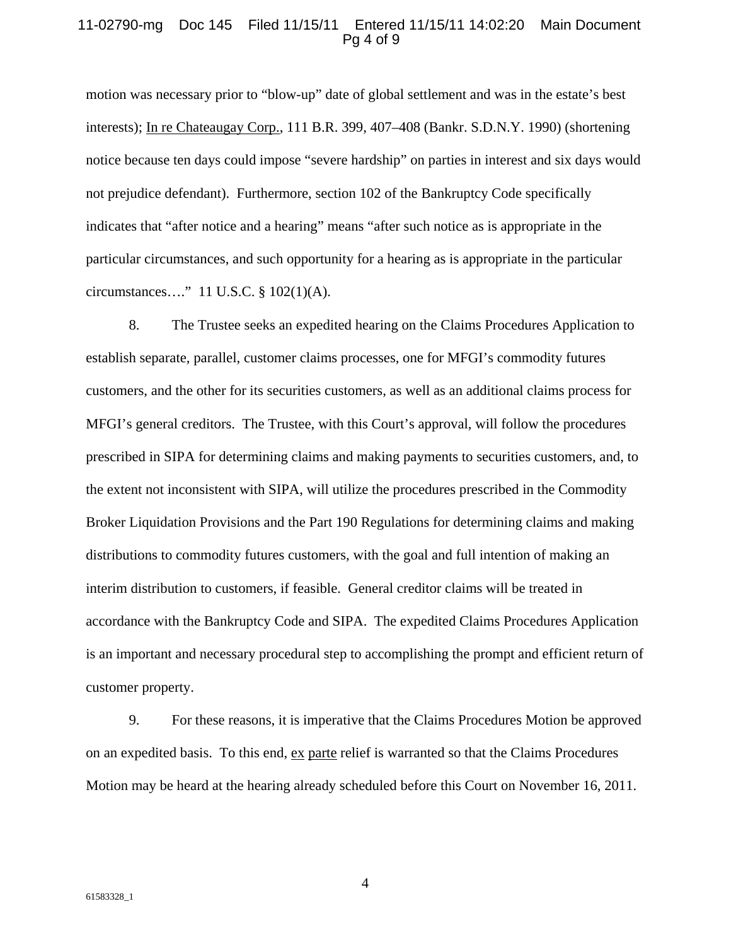#### 11-02790-mg Doc 145 Filed 11/15/11 Entered 11/15/11 14:02:20 Main Document Pg 4 of 9

motion was necessary prior to "blow-up" date of global settlement and was in the estate's best interests); In re Chateaugay Corp., 111 B.R. 399, 407–408 (Bankr. S.D.N.Y. 1990) (shortening notice because ten days could impose "severe hardship" on parties in interest and six days would not prejudice defendant). Furthermore, section 102 of the Bankruptcy Code specifically indicates that "after notice and a hearing" means "after such notice as is appropriate in the particular circumstances, and such opportunity for a hearing as is appropriate in the particular circumstances…." 11 U.S.C. § 102(1)(A).

8. The Trustee seeks an expedited hearing on the Claims Procedures Application to establish separate, parallel, customer claims processes, one for MFGI's commodity futures customers, and the other for its securities customers, as well as an additional claims process for MFGI's general creditors. The Trustee, with this Court's approval, will follow the procedures prescribed in SIPA for determining claims and making payments to securities customers, and, to the extent not inconsistent with SIPA, will utilize the procedures prescribed in the Commodity Broker Liquidation Provisions and the Part 190 Regulations for determining claims and making distributions to commodity futures customers, with the goal and full intention of making an interim distribution to customers, if feasible. General creditor claims will be treated in accordance with the Bankruptcy Code and SIPA. The expedited Claims Procedures Application is an important and necessary procedural step to accomplishing the prompt and efficient return of customer property.

9. For these reasons, it is imperative that the Claims Procedures Motion be approved on an expedited basis. To this end, ex parte relief is warranted so that the Claims Procedures Motion may be heard at the hearing already scheduled before this Court on November 16, 2011.

4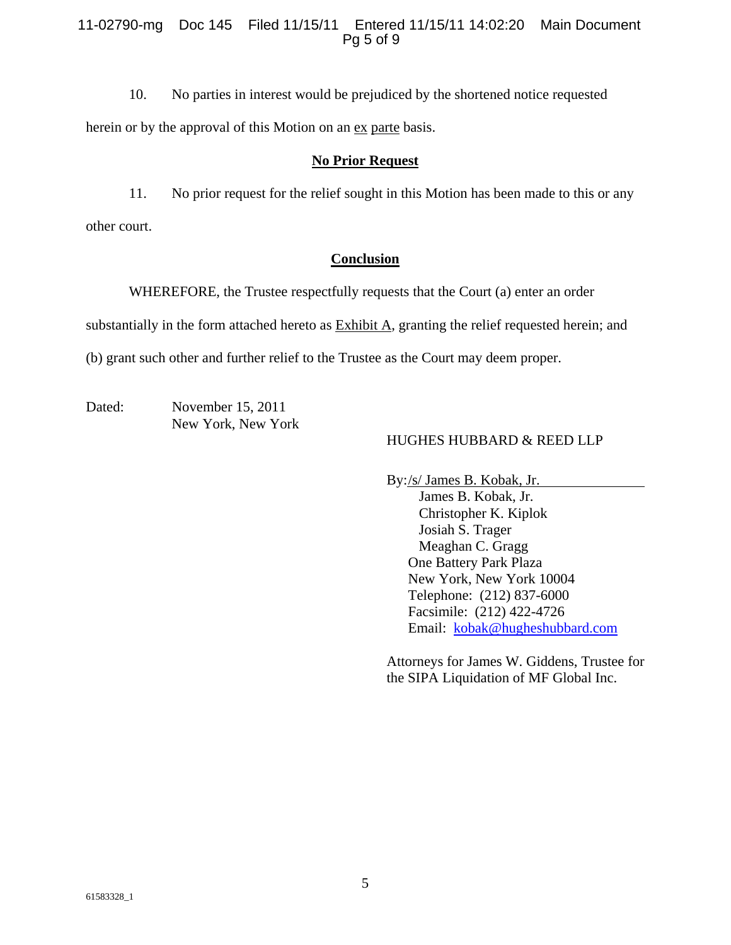## 11-02790-mg Doc 145 Filed 11/15/11 Entered 11/15/11 14:02:20 Main Document Pg 5 of 9

10. No parties in interest would be prejudiced by the shortened notice requested herein or by the approval of this Motion on an <u>ex</u> parte basis.

## **No Prior Request**

11. No prior request for the relief sought in this Motion has been made to this or any other court.

## **Conclusion**

WHEREFORE, the Trustee respectfully requests that the Court (a) enter an order

substantially in the form attached hereto as Exhibit A, granting the relief requested herein; and

(b) grant such other and further relief to the Trustee as the Court may deem proper.

Dated: November 15, 2011 New York, New York

## HUGHES HUBBARD & REED LLP

By: /s/ James B. Kobak, Jr.

 James B. Kobak, Jr. Christopher K. Kiplok Josiah S. Trager Meaghan C. Gragg One Battery Park Plaza New York, New York 10004 Telephone: (212) 837-6000 Facsimile: (212) 422-4726 Email: kobak@hugheshubbard.com

Attorneys for James W. Giddens, Trustee for the SIPA Liquidation of MF Global Inc.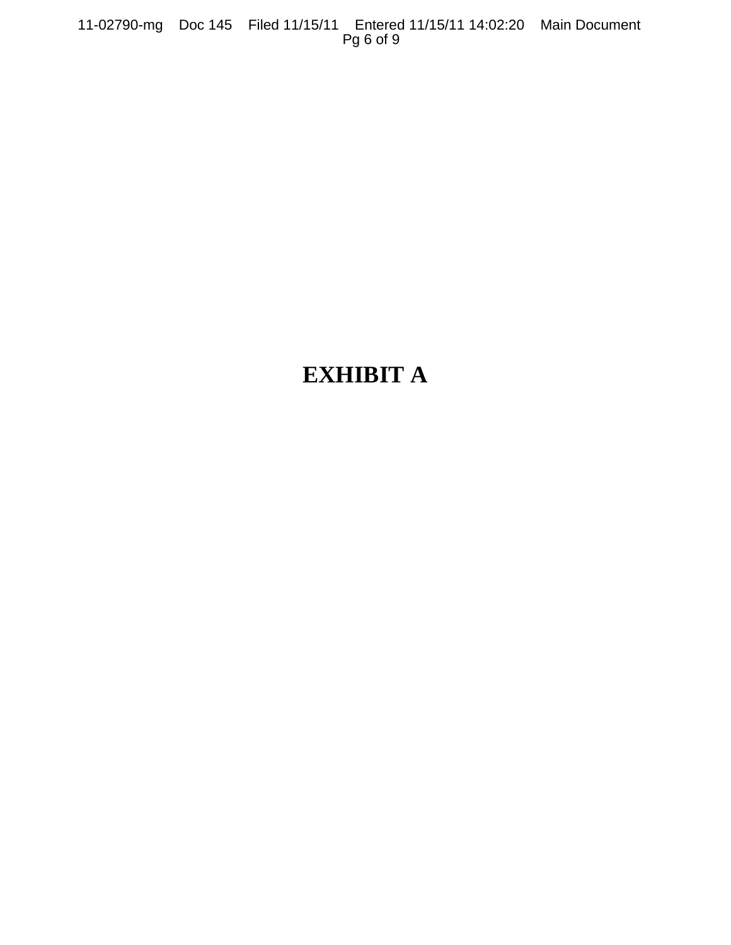11-02790-mg Doc 145 Filed 11/15/11 Entered 11/15/11 14:02:20 Main Document Pg 6 of 9

# **EXHIBIT A**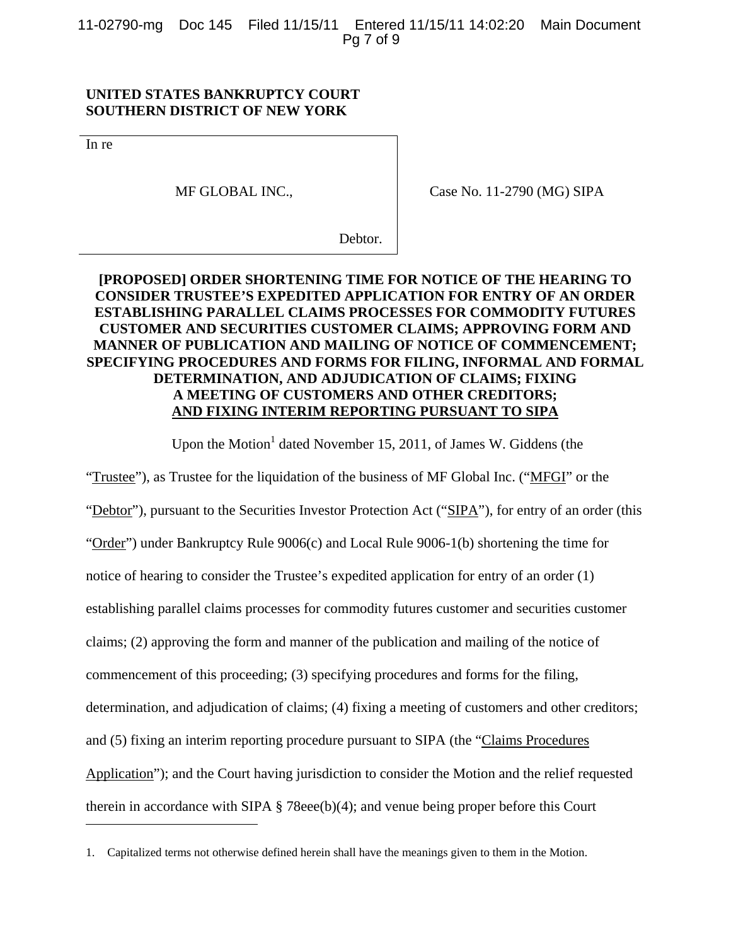11-02790-mg Doc 145 Filed 11/15/11 Entered 11/15/11 14:02:20 Main Document Pg 7 of 9

#### **UNITED STATES BANKRUPTCY COURT SOUTHERN DISTRICT OF NEW YORK**

In re

 $\overline{a}$ 

MF GLOBAL INC.,

Case No. 11-2790 (MG) SIPA

Debtor.

# **[PROPOSED] ORDER SHORTENING TIME FOR NOTICE OF THE HEARING TO CONSIDER TRUSTEE'S EXPEDITED APPLICATION FOR ENTRY OF AN ORDER ESTABLISHING PARALLEL CLAIMS PROCESSES FOR COMMODITY FUTURES CUSTOMER AND SECURITIES CUSTOMER CLAIMS; APPROVING FORM AND MANNER OF PUBLICATION AND MAILING OF NOTICE OF COMMENCEMENT; SPECIFYING PROCEDURES AND FORMS FOR FILING, INFORMAL AND FORMAL DETERMINATION, AND ADJUDICATION OF CLAIMS; FIXING A MEETING OF CUSTOMERS AND OTHER CREDITORS; AND FIXING INTERIM REPORTING PURSUANT TO SIPA**

Upon the Motion<sup>1</sup> dated November 15, 2011, of James W. Giddens (the

"Trustee"), as Trustee for the liquidation of the business of MF Global Inc. ("MFGI" or the "Debtor"), pursuant to the Securities Investor Protection Act ("SIPA"), for entry of an order (this "Order") under Bankruptcy Rule  $9006(c)$  and Local Rule  $9006-1(b)$  shortening the time for notice of hearing to consider the Trustee's expedited application for entry of an order (1) establishing parallel claims processes for commodity futures customer and securities customer claims; (2) approving the form and manner of the publication and mailing of the notice of commencement of this proceeding; (3) specifying procedures and forms for the filing, determination, and adjudication of claims; (4) fixing a meeting of customers and other creditors; and (5) fixing an interim reporting procedure pursuant to SIPA (the "Claims Procedures Application"); and the Court having jurisdiction to consider the Motion and the relief requested therein in accordance with SIPA § 78eee(b)(4); and venue being proper before this Court

<sup>1.</sup> Capitalized terms not otherwise defined herein shall have the meanings given to them in the Motion.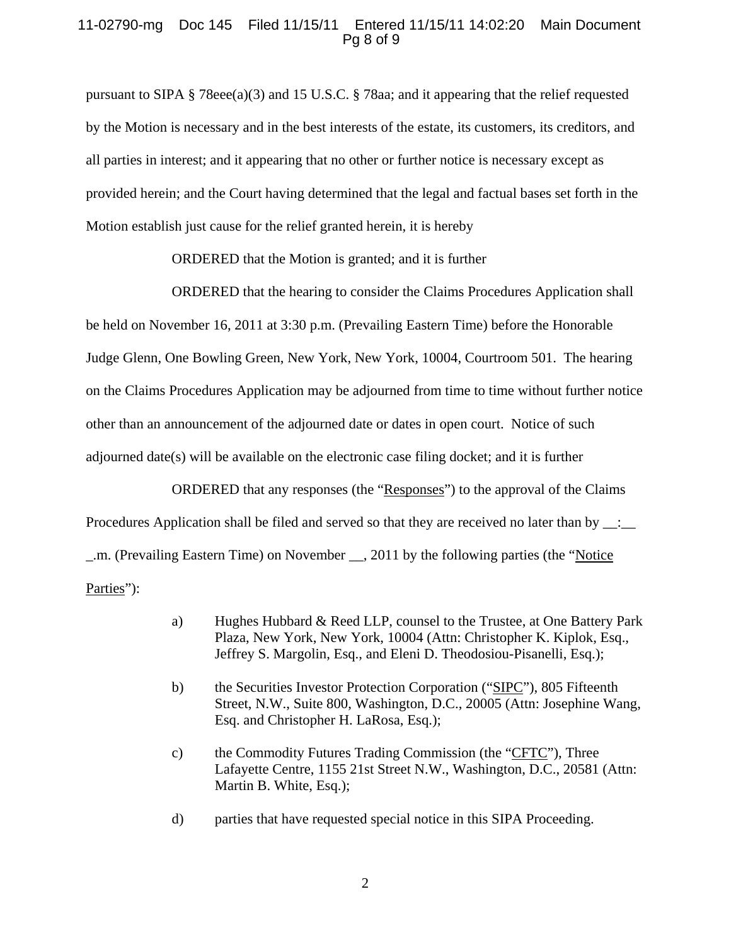## 11-02790-mg Doc 145 Filed 11/15/11 Entered 11/15/11 14:02:20 Main Document Pg 8 of 9

pursuant to SIPA § 78eee(a)(3) and 15 U.S.C. § 78aa; and it appearing that the relief requested by the Motion is necessary and in the best interests of the estate, its customers, its creditors, and all parties in interest; and it appearing that no other or further notice is necessary except as provided herein; and the Court having determined that the legal and factual bases set forth in the Motion establish just cause for the relief granted herein, it is hereby

ORDERED that the Motion is granted; and it is further

ORDERED that the hearing to consider the Claims Procedures Application shall be held on November 16, 2011 at 3:30 p.m. (Prevailing Eastern Time) before the Honorable Judge Glenn, One Bowling Green, New York, New York, 10004, Courtroom 501. The hearing on the Claims Procedures Application may be adjourned from time to time without further notice other than an announcement of the adjourned date or dates in open court. Notice of such adjourned date(s) will be available on the electronic case filing docket; and it is further

ORDERED that any responses (the "Responses") to the approval of the Claims Procedures Application shall be filed and served so that they are received no later than by  $\frac{1}{\sqrt{2}}$ \_.m. (Prevailing Eastern Time) on November \_\_, 2011 by the following parties (the "Notice Parties":

- a) Hughes Hubbard & Reed LLP, counsel to the Trustee, at One Battery Park Plaza, New York, New York, 10004 (Attn: Christopher K. Kiplok, Esq., Jeffrey S. Margolin, Esq., and Eleni D. Theodosiou-Pisanelli, Esq.);
- b) the Securities Investor Protection Corporation ("SIPC"), 805 Fifteenth Street, N.W., Suite 800, Washington, D.C., 20005 (Attn: Josephine Wang, Esq. and Christopher H. LaRosa, Esq.);
- c) the Commodity Futures Trading Commission (the "CFTC"), Three Lafayette Centre, 1155 21st Street N.W., Washington, D.C., 20581 (Attn: Martin B. White, Esq.);
- d) parties that have requested special notice in this SIPA Proceeding.